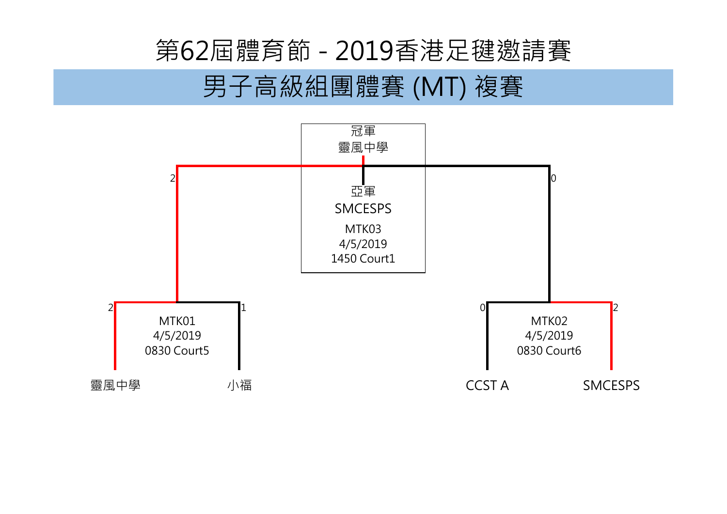



## 第62屆體育節 - 2019香港足毽邀請賽 男子高級組團體賽 (MT) 複賽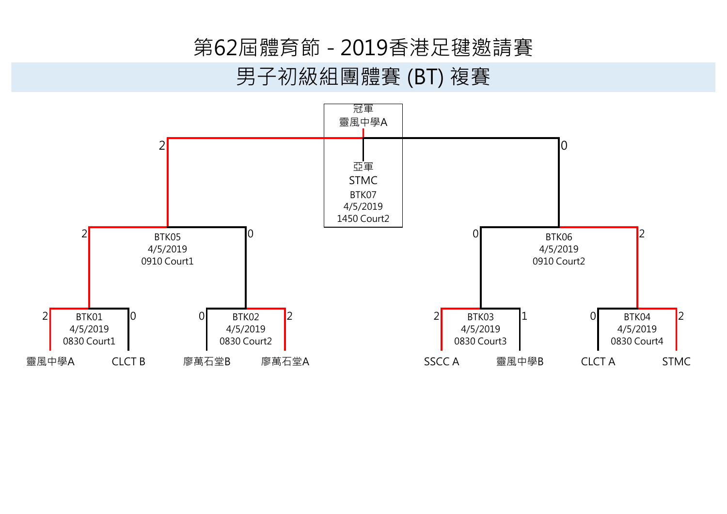### 第62屆體育節 - 2019香港足毽邀請賽 男子初級組團體賽 (BT) 複賽

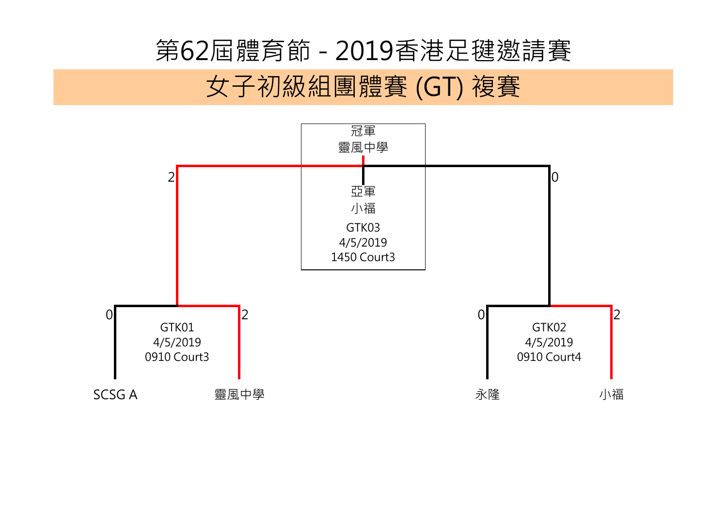



## 第62屆體育節 - 2019香港足毽邀請賽 女子初級組團體賽 (GT) 複賽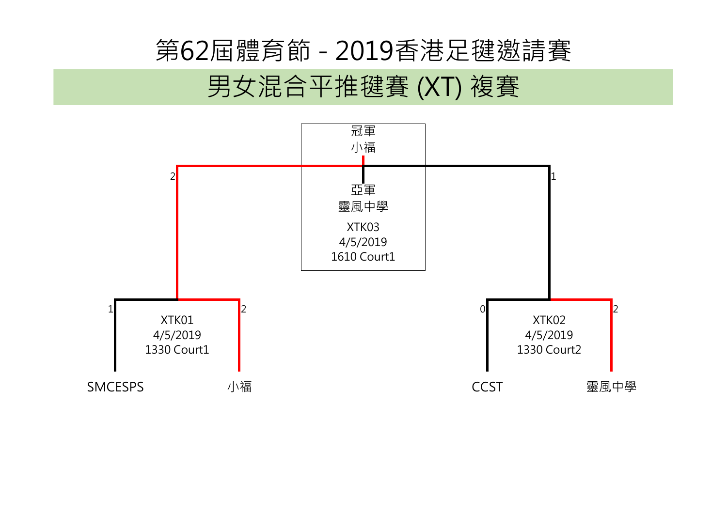



# 第62屆體育節 - 2019香港足毽邀請賽 男女混合平推毽賽 (XT) 複賽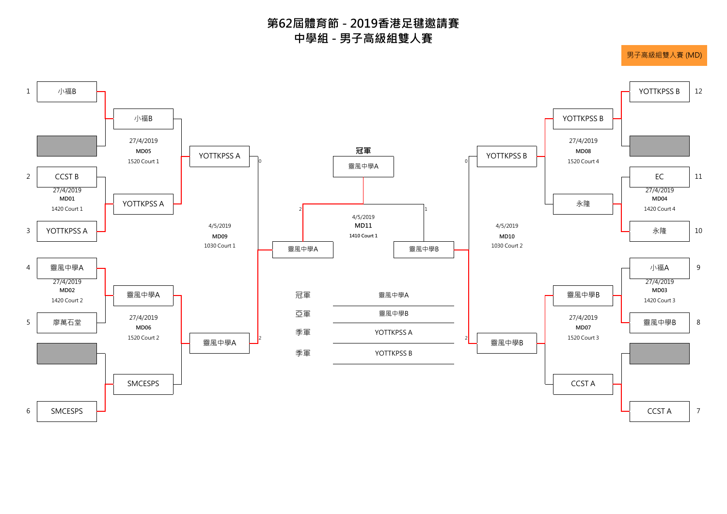**中學組 - 男子高級組雙人賽 第62屆體育節 - 2019香港足毽邀請賽**



男子高級組雙人賽 (MD)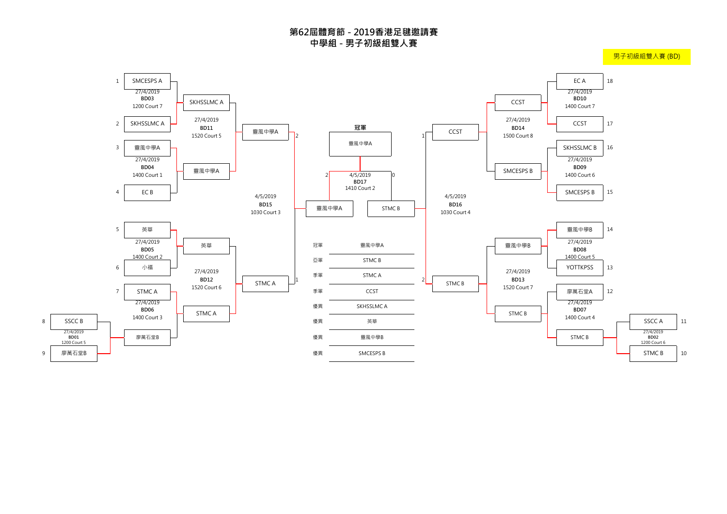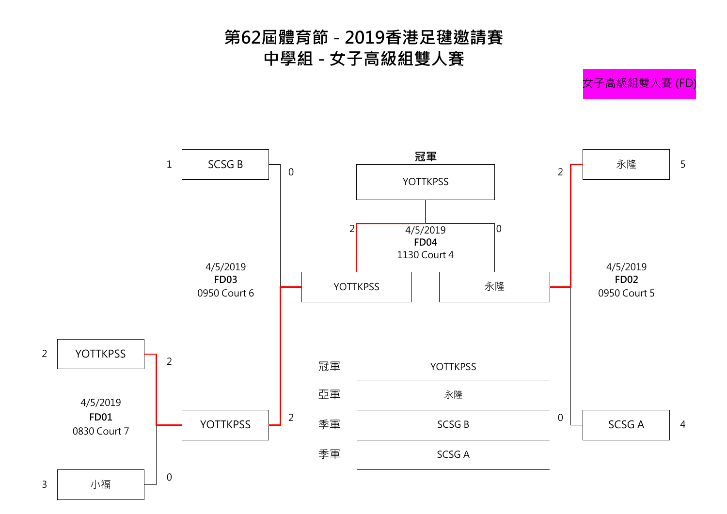女子高級組雙人賽 (FD)





#### **第62屆體育節 - 2019香港足毽邀請賽 中學組 - 女子高級組雙人賽**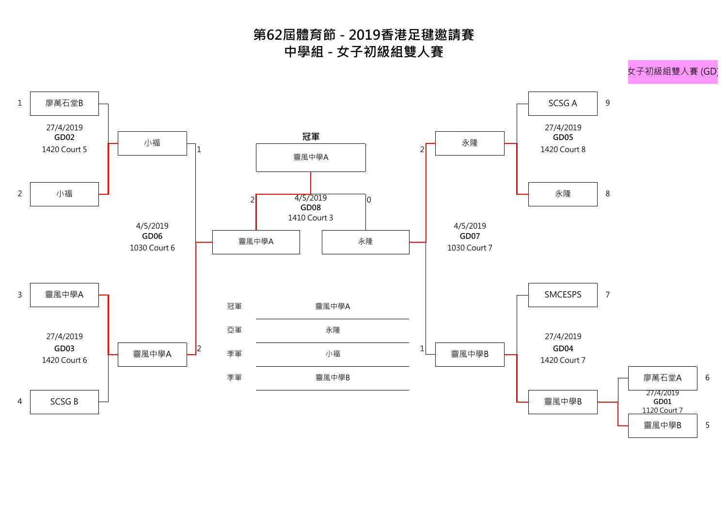

#### **第62屆體育節 - 2019香港足毽邀請賽 中學組 - 女子初級組雙人賽**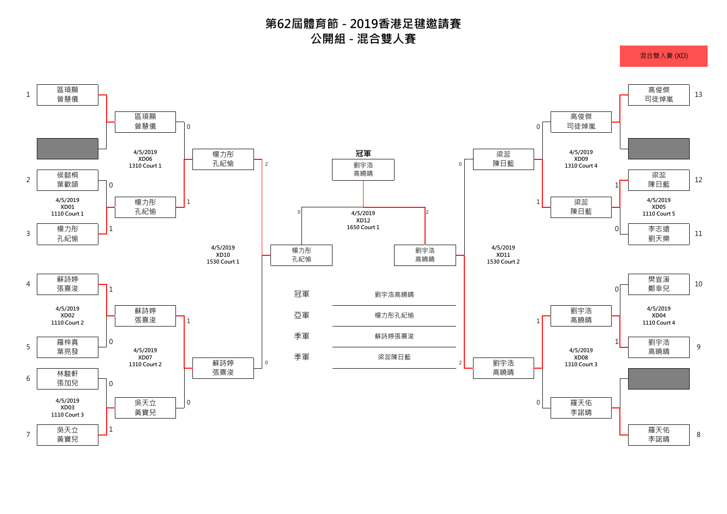#### 混合雙人賽 (XD)



**第62屆體育節 - 2019香港足毽邀請賽 公開組 - 混合雙人賽**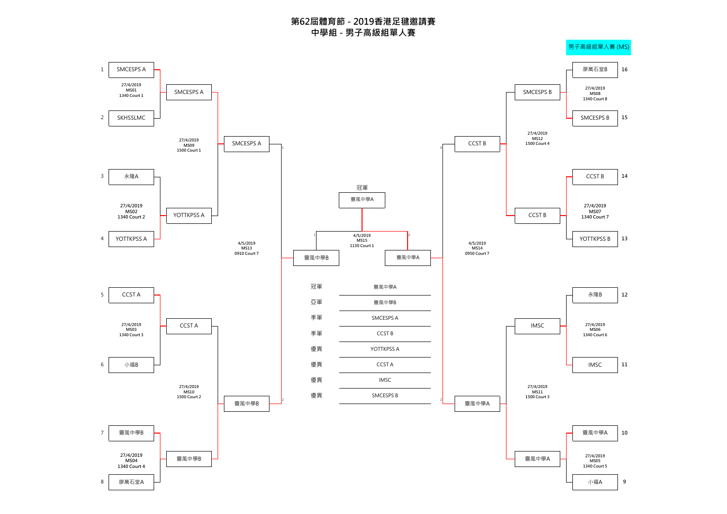

$$
\boxed{\qquad \qquad \text{YOTTKPSS B} \qquad \qquad } \quad \text{13}
$$

$$
\begin{array}{|c|c|}\n\hline\n\hline\n\textcircled{\footnotesize{B}}\textcircled{\footnotesize{B}}\textcircled{\footnotesize{B}}\textcircled{\footnotesize{A}}&10 \\
\hline\n\textcircled{\footnotesize{1340 Cour15}} \\
\hline\n\textcircled{\footnotesize{1340 Cour15}} \\
\hline\n\textcircled{\footnotesize{1340 Cour15}} \\
\hline\n\textcircled{\footnotesize{1340}}\textcircled{\footnotesize{1340}}\textcircled{\footnotesize{9}}\textcircled{\footnotesize{9}}\n\end{array}
$$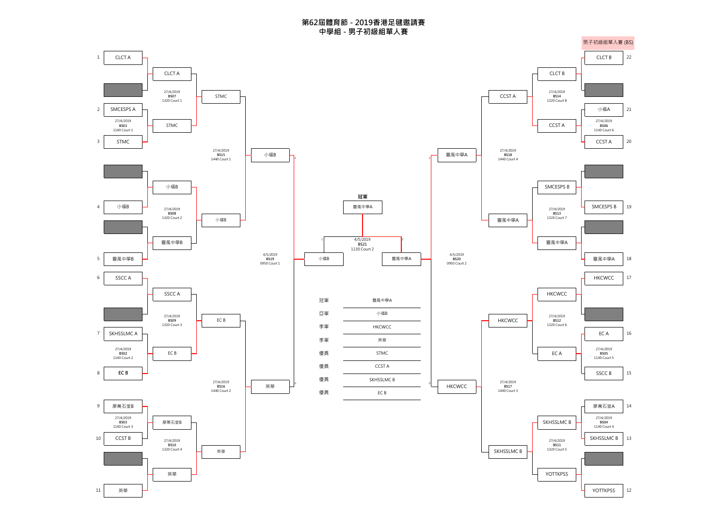

**第62屆體育節 - 2019香港足毽邀請賽 中學組 - 男子初級組單人賽**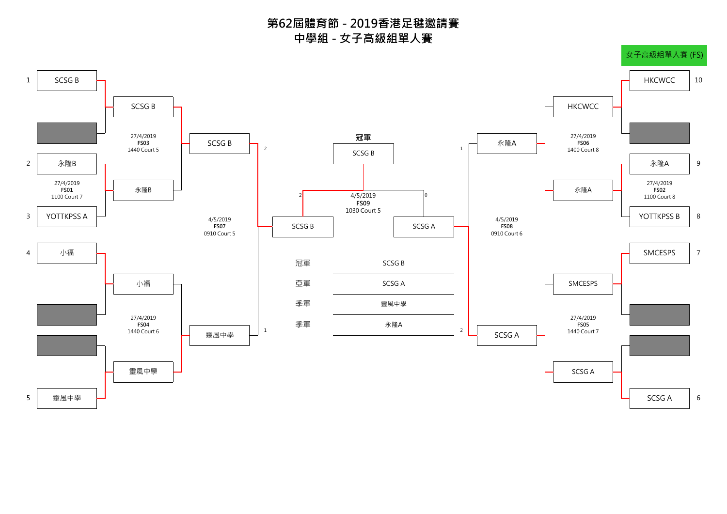

**第62屆體育節 - 2019香港足毽邀請賽 中學組 - 女子高級組單人賽**